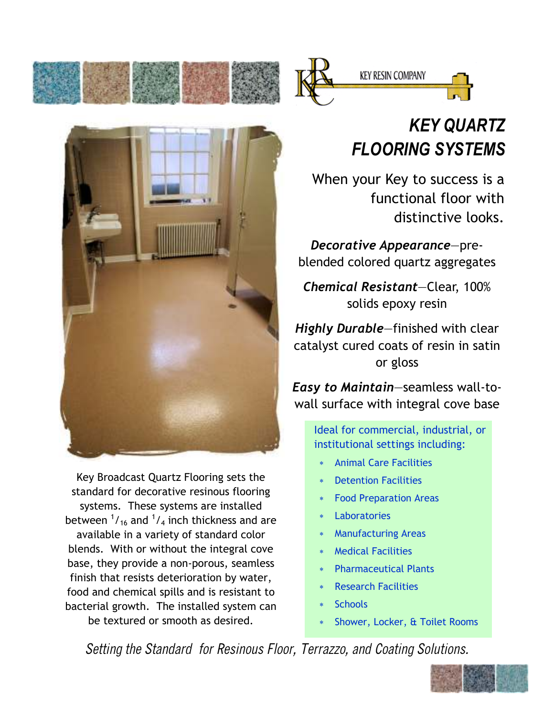





Key Broadcast Quartz Flooring sets the standard for decorative resinous flooring systems. These systems are installed between  $\frac{1}{16}$  and  $\frac{1}{4}$  inch thickness and are available in a variety of standard color blends. With or without the integral cove base, they provide a non-porous, seamless finish that resists deterioration by water, food and chemical spills and is resistant to bacterial growth. The installed system can be textured or smooth as desired.

## KEY QUARTZ FLOORING SYSTEMS

 When your Key to success is a functional floor with distinctive looks.

Decorative Appearance—preblended colored quartz aggregates

Chemical Resistant—Clear, 100% solids epoxy resin

Highly Durable–finished with clear catalyst cured coats of resin in satin or gloss

Easy to Maintain—seamless wall-towall surface with integral cove base

> Ideal for commercial, industrial, or institutional settings including:

- **Animal Care Facilities**
- Detention Facilities
- Food Preparation Areas
- **Laboratories**
- Manufacturing Areas
- ∗ Medical Facilities
- **Pharmaceutical Plants**
- ∗ Research Facilities
- ∗ Schools
- Shower, Locker, & Toilet Rooms

Setting the Standard for Resinous Floor, Terrazzo, and Coating Solutions.